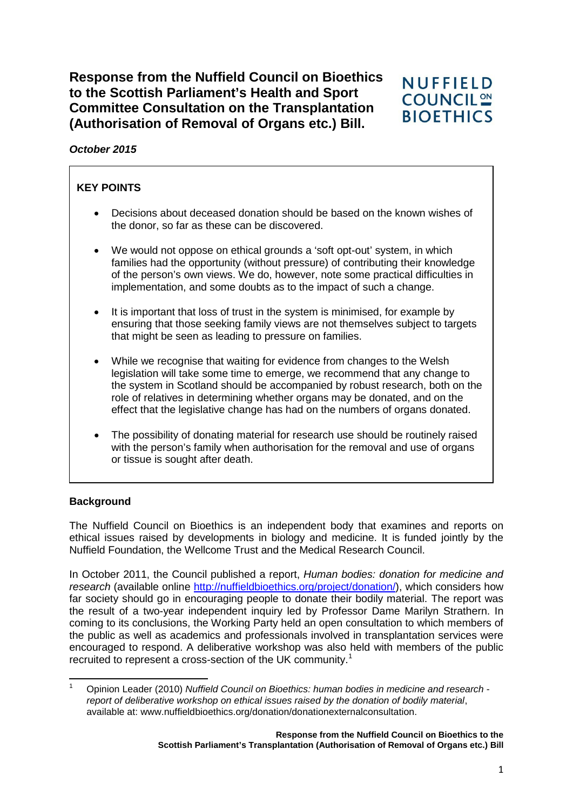**Response from the Nuffield Council on Bioethics to the Scottish Parliament's Health and Sport Committee Consultation on the Transplantation (Authorisation of Removal of Organs etc.) Bill.** 



*October 2015*

# **KEY POINTS**

- Decisions about deceased donation should be based on the known wishes of the donor, so far as these can be discovered.
- We would not oppose on ethical grounds a 'soft opt-out' system, in which families had the opportunity (without pressure) of contributing their knowledge of the person's own views. We do, however, note some practical difficulties in implementation, and some doubts as to the impact of such a change.
- It is important that loss of trust in the system is minimised, for example by ensuring that those seeking family views are not themselves subject to targets that might be seen as leading to pressure on families.
- While we recognise that waiting for evidence from changes to the Welsh legislation will take some time to emerge, we recommend that any change to the system in Scotland should be accompanied by robust research, both on the role of relatives in determining whether organs may be donated, and on the effect that the legislative change has had on the numbers of organs donated.
- The possibility of donating material for research use should be routinely raised with the person's family when authorisation for the removal and use of organs or tissue is sought after death.

# **Background**

The Nuffield Council on Bioethics is an independent body that examines and reports on ethical issues raised by developments in biology and medicine. It is funded jointly by the Nuffield Foundation, the Wellcome Trust and the Medical Research Council.

In October 2011, the Council published a report, *Human bodies: donation for medicine and research* (available online [http://nuffieldbioethics.org/project/donation/\)](http://nuffieldbioethics.org/project/donation/), which considers how far society should go in encouraging people to donate their bodily material. The report was the result of a two-year independent inquiry led by Professor Dame Marilyn Strathern. In coming to its conclusions, the Working Party held an open consultation to which members of the public as well as academics and professionals involved in transplantation services were encouraged to respond. A deliberative workshop was also held with members of the public recruited to represent a cross-section of the UK community.<sup>[1](#page-0-0)</sup>

<span id="page-0-0"></span><sup>1</sup> Opinion Leader (2010) *Nuffield Council on Bioethics: human bodies in medicine and research report of deliberative workshop on ethical issues raised by the donation of bodily material*, available at: www.nuffieldbioethics.org/donation/donationexternalconsultation.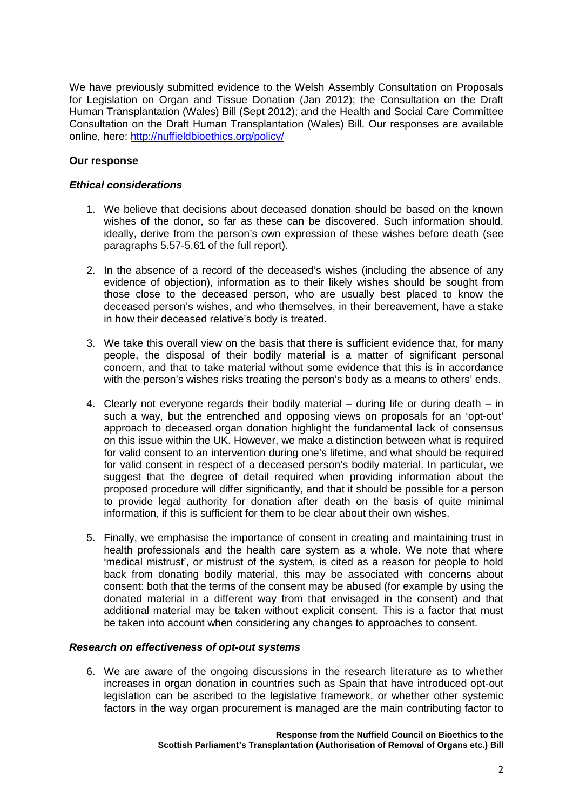We have previously submitted evidence to the Welsh Assembly Consultation on Proposals for Legislation on Organ and Tissue Donation (Jan 2012); the Consultation on the Draft Human Transplantation (Wales) Bill (Sept 2012); and the Health and Social Care Committee Consultation on the Draft Human Transplantation (Wales) Bill. Our responses are available online, here:<http://nuffieldbioethics.org/policy/>

### **Our response**

#### *Ethical considerations*

- 1. We believe that decisions about deceased donation should be based on the known wishes of the donor, so far as these can be discovered. Such information should, ideally, derive from the person's own expression of these wishes before death (see paragraphs 5.57-5.61 of the full report).
- 2. In the absence of a record of the deceased's wishes (including the absence of any evidence of objection), information as to their likely wishes should be sought from those close to the deceased person, who are usually best placed to know the deceased person's wishes, and who themselves, in their bereavement, have a stake in how their deceased relative's body is treated.
- 3. We take this overall view on the basis that there is sufficient evidence that, for many people, the disposal of their bodily material is a matter of significant personal concern, and that to take material without some evidence that this is in accordance with the person's wishes risks treating the person's body as a means to others' ends.
- 4. Clearly not everyone regards their bodily material during life or during death in such a way, but the entrenched and opposing views on proposals for an 'opt-out' approach to deceased organ donation highlight the fundamental lack of consensus on this issue within the UK. However, we make a distinction between what is required for valid consent to an intervention during one's lifetime, and what should be required for valid consent in respect of a deceased person's bodily material. In particular, we suggest that the degree of detail required when providing information about the proposed procedure will differ significantly, and that it should be possible for a person to provide legal authority for donation after death on the basis of quite minimal information, if this is sufficient for them to be clear about their own wishes.
- 5. Finally, we emphasise the importance of consent in creating and maintaining trust in health professionals and the health care system as a whole. We note that where 'medical mistrust', or mistrust of the system, is cited as a reason for people to hold back from donating bodily material, this may be associated with concerns about consent: both that the terms of the consent may be abused (for example by using the donated material in a different way from that envisaged in the consent) and that additional material may be taken without explicit consent. This is a factor that must be taken into account when considering any changes to approaches to consent.

#### *Research on effectiveness of opt-out systems*

6. We are aware of the ongoing discussions in the research literature as to whether increases in organ donation in countries such as Spain that have introduced opt-out legislation can be ascribed to the legislative framework, or whether other systemic factors in the way organ procurement is managed are the main contributing factor to

> **Response from the Nuffield Council on Bioethics to the Scottish Parliament's Transplantation (Authorisation of Removal of Organs etc.) Bill**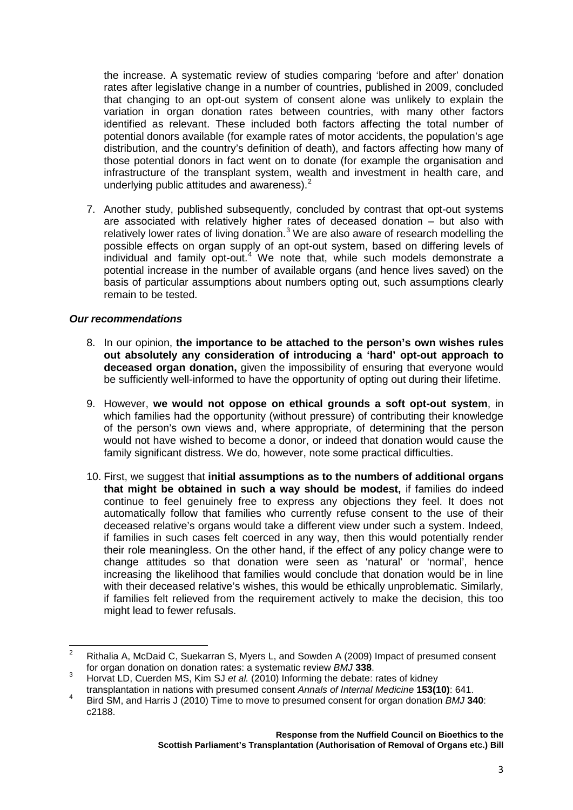the increase. A systematic review of studies comparing 'before and after' donation rates after legislative change in a number of countries, published in 2009, concluded that changing to an opt-out system of consent alone was unlikely to explain the variation in organ donation rates between countries, with many other factors identified as relevant. These included both factors affecting the total number of potential donors available (for example rates of motor accidents, the population's age distribution, and the country's definition of death), and factors affecting how many of those potential donors in fact went on to donate (for example the organisation and infrastructure of the transplant system, wealth and investment in health care, and underlying public attitudes and awareness).<sup>[2](#page-2-0)</sup>

7. Another study, published subsequently, concluded by contrast that opt-out systems are associated with relatively higher rates of deceased donation – but also with relatively lower rates of living donation. $3$  We are also aware of research modelling the possible effects on organ supply of an opt-out system, based on differing levels of individual and family opt-out.<sup>[4](#page-2-2)</sup> We note that, while such models demonstrate a potential increase in the number of available organs (and hence lives saved) on the basis of particular assumptions about numbers opting out, such assumptions clearly remain to be tested.

### *Our recommendations*

- 8. In our opinion, **the importance to be attached to the person's own wishes rules out absolutely any consideration of introducing a 'hard' opt-out approach to deceased organ donation,** given the impossibility of ensuring that everyone would be sufficiently well-informed to have the opportunity of opting out during their lifetime.
- 9. However, **we would not oppose on ethical grounds a soft opt-out system**, in which families had the opportunity (without pressure) of contributing their knowledge of the person's own views and, where appropriate, of determining that the person would not have wished to become a donor, or indeed that donation would cause the family significant distress. We do, however, note some practical difficulties.
- 10. First, we suggest that **initial assumptions as to the numbers of additional organs that might be obtained in such a way should be modest,** if families do indeed continue to feel genuinely free to express any objections they feel. It does not automatically follow that families who currently refuse consent to the use of their deceased relative's organs would take a different view under such a system. Indeed, if families in such cases felt coerced in any way, then this would potentially render their role meaningless. On the other hand, if the effect of any policy change were to change attitudes so that donation were seen as 'natural' or 'normal', hence increasing the likelihood that families would conclude that donation would be in line with their deceased relative's wishes, this would be ethically unproblematic. Similarly, if families felt relieved from the requirement actively to make the decision, this too might lead to fewer refusals.

<span id="page-2-0"></span><sup>&</sup>lt;sup>2</sup> Rithalia A, McDaid C, Suekarran S, Myers L, and Sowden A (2009) Impact of presumed consent for organ donation on donation rates: a systematic review *BMJ* **338**.

<span id="page-2-1"></span>For organ donation on donation rates: a systematic review *BMJ* **BMJ**<br>Horvat LD, Cuerden MS, Kim SJ *et al.* (2010) Informing the debate: rates of kidney<br>transplantation in nations with presumed consent *Annals of Internal* 

<span id="page-2-2"></span>**Bird SM, and Harris J (2010) Time to move to presumed consent for organ donation** *BMJ* **<b>340**: c2188.